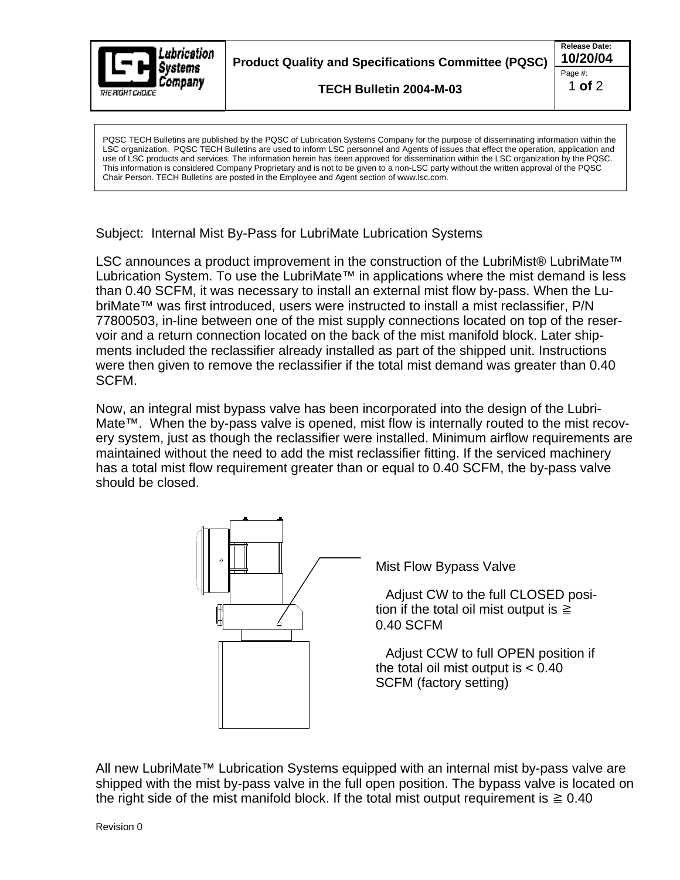

PQSC TECH Bulletins are published by the PQSC of Lubrication Systems Company for the purpose of disseminating information within the LSC organization. PQSC TECH Bulletins are used to inform LSC personnel and Agents of issues that effect the operation, application and use of LSC products and services. The information herein has been approved for dissemination within the LSC organization by the PQSC. This information is considered Company Proprietary and is not to be given to a non-LSC party without the written approval of the PQSC Chair Person. TECH Bulletins are posted in the Employee and Agent section of www.lsc.com.

Subject: Internal Mist By-Pass for LubriMate Lubrication Systems

LSC announces a product improvement in the construction of the LubriMist® LubriMate<sup>™</sup> Lubrication System. To use the LubriMate™ in applications where the mist demand is less than 0.40 SCFM, it was necessary to install an external mist flow by-pass. When the Lu briMate™ was first introduced, users were instructed to install a mist reclassifier, P/N 77800503, in-line between one of the mist supply connections located on top of the reser voir and a return connection located on the back of the mist manifold block. Later ship ments included the reclassifier already installed as part of the shipped unit. Instructions were then given to remove the reclassifier if the total mist demand was greater than 0.40 SCFM. The contract of the contract of the contract of the contract of the contract of the contract of the contract of the contract of the contract of the contract of the contract of the contract of the contract of the cont

Now, an integral mist bypass valve has been incorporated into the design of the Lubri- Mate™. When the by-pass valve is opened, mist flow is internally routed to the mist recov ery system, just as though the reclassifier were installed. Minimum airflow requirements are maintained without the need to add the mist reclassifier fitting. If the serviced machinery has a total mist flow requirement greater than or equal to 0.40 SCFM, the by-pass valve should be closed.



All new LubriMate<sup>™</sup> Lubrication Systems equipped with an internal mist by-pass valve are shipped with the mist by-pass valve in the full open position. The bypass valve is located on the right side of the mist manifold block. If the total mist output requirement is  $\geq 0.40$